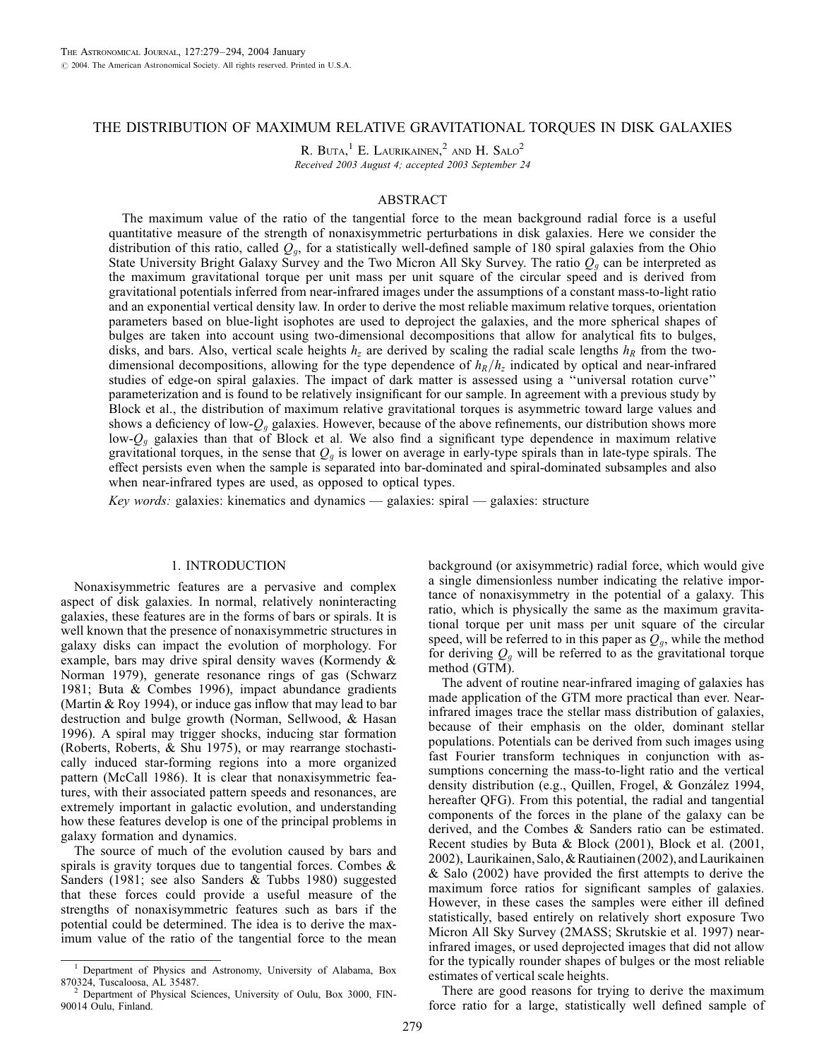# THE DISTRIBUTION OF MAXIMUM RELATIVE GRAVITATIONAL TORQUES IN DISK GALAXIES

R. BUTA,<sup>1</sup> E. LAURIKAINEN,<sup>2</sup> AND H. SALO<sup>2</sup> Received 2003 August 4; accepted 2003 September 24

# ABSTRACT

The maximum value of the ratio of the tangential force to the mean background radial force is a useful quantitative measure of the strength of nonaxisymmetric perturbations in disk galaxies. Here we consider the distribution of this ratio, called  $Q<sub>g</sub>$ , for a statistically well-defined sample of 180 spiral galaxies from the Ohio State University Bright Galaxy Survey and the Two Micron All Sky Survey. The ratio  $Q_q$  can be interpreted as the maximum gravitational torque per unit mass per unit square of the circular speed and is derived from gravitational potentials inferred from near-infrared images under the assumptions of a constant mass-to-light ratio and an exponential vertical density law. In order to derive the most reliable maximum relative torques, orientation parameters based on blue-light isophotes are used to deproject the galaxies, and the more spherical shapes of bulges are taken into account using two-dimensional decompositions that allow for analytical fits to bulges, disks, and bars. Also, vertical scale heights  $h<sub>z</sub>$  are derived by scaling the radial scale lengths  $h<sub>R</sub>$  from the twodimensional decompositions, allowing for the type dependence of  $h_R/h_z$  indicated by optical and near-infrared studies of edge-on spiral galaxies. The impact of dark matter is assessed using a ''universal rotation curve'' parameterization and is found to be relatively insignificant for our sample. In agreement with a previous study by Block et al., the distribution of maximum relative gravitational torques is asymmetric toward large values and shows a deficiency of low- $Q_q$  galaxies. However, because of the above refinements, our distribution shows more low- $Q_g$  galaxies than that of Block et al. We also find a significant type dependence in maximum relative gravitational torques, in the sense that  $Q<sub>g</sub>$  is lower on average in early-type spirals than in late-type spirals. The effect persists even when the sample is separated into bar-dominated and spiral-dominated subsamples and also when near-infrared types are used, as opposed to optical types.

Key words: galaxies: kinematics and dynamics  $-$  galaxies: spiral  $-$  galaxies: structure

# 1. INTRODUCTION

Nonaxisymmetric features are a pervasive and complex aspect of disk galaxies. In normal, relatively noninteracting galaxies, these features are in the forms of bars or spirals. It is well known that the presence of nonaxisymmetric structures in galaxy disks can impact the evolution of morphology. For example, bars may drive spiral density waves (Kormendy & Norman 1979), generate resonance rings of gas (Schwarz 1981; Buta & Combes 1996), impact abundance gradients (Martin & Roy 1994), or induce gas inflow that may lead to bar destruction and bulge growth (Norman, Sellwood, & Hasan 1996). A spiral may trigger shocks, inducing star formation (Roberts, Roberts, & Shu 1975), or may rearrange stochastically induced star-forming regions into a more organized pattern (McCall 1986). It is clear that nonaxisymmetric features, with their associated pattern speeds and resonances, are extremely important in galactic evolution, and understanding how these features develop is one of the principal problems in galaxy formation and dynamics.

The source of much of the evolution caused by bars and spirals is gravity torques due to tangential forces. Combes & Sanders (1981; see also Sanders & Tubbs 1980) suggested that these forces could provide a useful measure of the strengths of nonaxisymmetric features such as bars if the potential could be determined. The idea is to derive the maximum value of the ratio of the tangential force to the mean background (or axisymmetric) radial force, which would give a single dimensionless number indicating the relative importance of nonaxisymmetry in the potential of a galaxy. This ratio, which is physically the same as the maximum gravitational torque per unit mass per unit square of the circular speed, will be referred to in this paper as  $Q<sub>g</sub>$ , while the method for deriving  $Q_q$  will be referred to as the gravitational torque method (GTM).

The advent of routine near-infrared imaging of galaxies has made application of the GTM more practical than ever. Nearinfrared images trace the stellar mass distribution of galaxies, because of their emphasis on the older, dominant stellar populations. Potentials can be derived from such images using fast Fourier transform techniques in conjunction with assumptions concerning the mass-to-light ratio and the vertical density distribution (e.g., Quillen, Frogel, & González 1994, hereafter QFG). From this potential, the radial and tangential components of the forces in the plane of the galaxy can be derived, and the Combes & Sanders ratio can be estimated. Recent studies by Buta & Block (2001), Block et al. (2001, 2002), Laurikainen, Salo, & Rautiainen (2002), and Laurikainen & Salo (2002) have provided the first attempts to derive the maximum force ratios for significant samples of galaxies. However, in these cases the samples were either ill defined statistically, based entirely on relatively short exposure Two Micron All Sky Survey (2MASS; Skrutskie et al. 1997) nearinfrared images, or used deprojected images that did not allow for the typically rounder shapes of bulges or the most reliable estimates of vertical scale heights.

There are good reasons for trying to derive the maximum force ratio for a large, statistically well defined sample of

<sup>&</sup>lt;sup>1</sup> Department of Physics and Astronomy, University of Alabama, Box 870324, Tuscaloosa, AL 35487.<br><sup>2</sup> Department of Physical Sciences, University of Oul: Department of Physical Sciences, University of Oul: Department

Department of Physical Sciences, University of Oulu, Box 3000, FIN-90014 Oulu, Finland.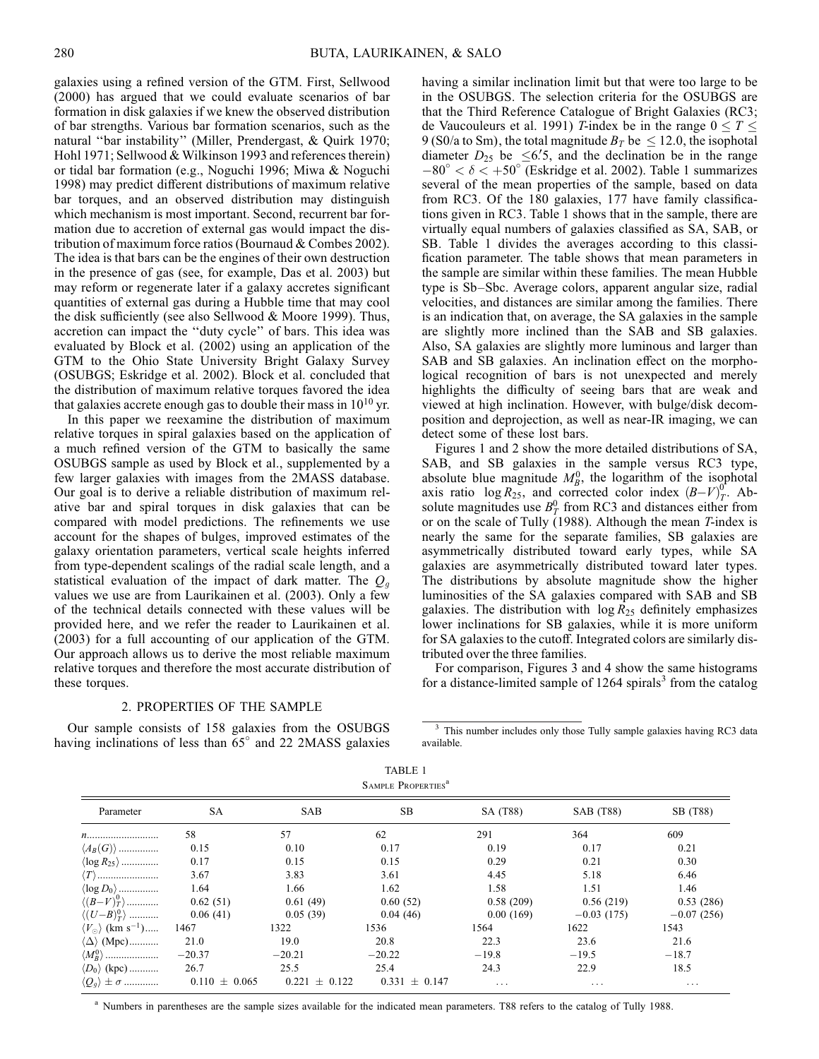galaxies using a refined version of the GTM. First, Sellwood (2000) has argued that we could evaluate scenarios of bar formation in disk galaxies if we knew the observed distribution of bar strengths. Various bar formation scenarios, such as the natural ''bar instability'' (Miller, Prendergast, & Quirk 1970; Hohl 1971; Sellwood & Wilkinson 1993 and references therein) or tidal bar formation (e.g., Noguchi 1996; Miwa & Noguchi 1998) may predict different distributions of maximum relative bar torques, and an observed distribution may distinguish which mechanism is most important. Second, recurrent bar formation due to accretion of external gas would impact the distribution of maximum force ratios (Bournaud & Combes 2002). The idea is that bars can be the engines of their own destruction in the presence of gas (see, for example, Das et al. 2003) but may reform or regenerate later if a galaxy accretes significant quantities of external gas during a Hubble time that may cool the disk sufficiently (see also Sellwood & Moore 1999). Thus, accretion can impact the ''duty cycle'' of bars. This idea was evaluated by Block et al. (2002) using an application of the GTM to the Ohio State University Bright Galaxy Survey (OSUBGS; Eskridge et al. 2002). Block et al. concluded that the distribution of maximum relative torques favored the idea that galaxies accrete enough gas to double their mass in  $10^{10}$  yr.

In this paper we reexamine the distribution of maximum relative torques in spiral galaxies based on the application of a much refined version of the GTM to basically the same OSUBGS sample as used by Block et al., supplemented by a few larger galaxies with images from the 2MASS database. Our goal is to derive a reliable distribution of maximum relative bar and spiral torques in disk galaxies that can be compared with model predictions. The refinements we use account for the shapes of bulges, improved estimates of the galaxy orientation parameters, vertical scale heights inferred from type-dependent scalings of the radial scale length, and a statistical evaluation of the impact of dark matter. The  $Q<sub>q</sub>$ values we use are from Laurikainen et al. (2003). Only a few of the technical details connected with these values will be provided here, and we refer the reader to Laurikainen et al. (2003) for a full accounting of our application of the GTM. Our approach allows us to derive the most reliable maximum relative torques and therefore the most accurate distribution of these torques.

### 2. PROPERTIES OF THE SAMPLE

Our sample consists of 158 galaxies from the OSUBGS having inclinations of less than  $65^\circ$  and 22 2MASS galaxies having a similar inclination limit but that were too large to be in the OSUBGS. The selection criteria for the OSUBGS are that the Third Reference Catalogue of Bright Galaxies (RC3; de Vaucouleurs et al. 1991) *T*-index be in the range  $0 \le T \le$ 9 (S0/a to Sm), the total magnitude  $B_T$  be  $\leq 12.0$ , the isophotal diameter  $D_{25}$  be  $\leq 6.5$ , and the declination be in the range  $-80^\circ < \delta < +50^\circ$  (Eskridge et al. 2002). Table 1 summarizes several of the mean properties of the sample, based on data from RC3. Of the 180 galaxies, 177 have family classifications given in RC3. Table 1 shows that in the sample, there are virtually equal numbers of galaxies classified as SA, SAB, or SB. Table 1 divides the averages according to this classification parameter. The table shows that mean parameters in the sample are similar within these families. The mean Hubble type is Sb–Sbc. Average colors, apparent angular size, radial velocities, and distances are similar among the families. There is an indication that, on average, the SA galaxies in the sample are slightly more inclined than the SAB and SB galaxies. Also, SA galaxies are slightly more luminous and larger than SAB and SB galaxies. An inclination effect on the morphological recognition of bars is not unexpected and merely highlights the difficulty of seeing bars that are weak and viewed at high inclination. However, with bulge/disk decomposition and deprojection, as well as near-IR imaging, we can detect some of these lost bars.

Figures 1 and 2 show the more detailed distributions of SA, SAB, and SB galaxies in the sample versus RC3 type, absolute blue magnitude  $M_B^0$ , the logarithm of the isophotal axis ratio  $\log R_{25}$ , and corrected color index  $(B-V)^{0^+}_{T}$ . Absolute magnitudes use  $B_T^0$  from RC3 and distances either from or on the scale of Tully (1988). Although the mean T-index is nearly the same for the separate families, SB galaxies are asymmetrically distributed toward early types, while SA galaxies are asymmetrically distributed toward later types. The distributions by absolute magnitude show the higher luminosities of the SA galaxies compared with SAB and SB galaxies. The distribution with  $\log R_{25}$  definitely emphasizes lower inclinations for SB galaxies, while it is more uniform for SA galaxies to the cutoff. Integrated colors are similarly distributed over the three families.

For comparison, Figures 3 and 4 show the same histograms for a distance-limited sample of  $1264$  spirals<sup>3</sup> from the catalog

TABLE 1 SAMPLE PROPERTIES<sup>8</sup>

| Parameter                                         | <b>SA</b>         | <b>SAB</b>        | SB.               | SA (T88)  | SAB (T88)    | SB (T88)     |
|---------------------------------------------------|-------------------|-------------------|-------------------|-----------|--------------|--------------|
| n                                                 | 58                | 57                | 62                | 291       | 364          | 609          |
| $\langle A_B(G) \rangle$                          | 0.15              | 0.10              | 0.17              | 0.19      | 0.17         | 0.21         |
| $\langle \log R_{25} \rangle$                     | 0.17              | 0.15              | 0.15              | 0.29      | 0.21         | 0.30         |
| $\langle T \rangle$                               | 3.67              | 3.83              | 3.61              | 4.45      | 5.18         | 6.46         |
| $\langle \log D_0\rangle$                         | 1.64              | 1.66              | 1.62              | 1.58      | 1.51         | 1.46         |
| $\langle (B-V)_T^0 \rangle$                       | 0.62(51)          | 0.61(49)          | 0.60(52)          | 0.58(209) | 0.56(219)    | 0.53(286)    |
| $\langle (U-B)_T^0 \rangle$                       | 0.06(41)          | 0.05(39)          | 0.04(46)          | 0.00(169) | $-0.03(175)$ | $-0.07(256)$ |
| $\langle V_{\odot} \rangle$ (km s <sup>-1</sup> ) | 1467              | 1322              | 1536              | 1564      | 1622         | 1543         |
| $\langle \Delta \rangle$ (Mpc)                    | 21.0              | 19.0              | 20.8              | 22.3      | 23.6         | 21.6         |
| $\langle M_R^0 \rangle$                           | $-20.37$          | $-20.21$          | $-20.22$          | $-19.8$   | $-19.5$      | $-18.7$      |
| $\langle D_0 \rangle$ (kpc)                       | 26.7              | 25.5              | 25.4              | 24.3      | 22.9         | 18.5         |
| $\langle Q_q \rangle \pm \sigma$                  | $0.110 \pm 0.065$ | $0.221 \pm 0.122$ | $0.331 \pm 0.147$ | $\ddots$  | $\cdots$     | $\cdots$     |

<sup>a</sup> Numbers in parentheses are the sample sizes available for the indicated mean parameters. T88 refers to the catalog of Tully 1988.

<sup>&</sup>lt;sup>3</sup> This number includes only those Tully sample galaxies having RC3 data available.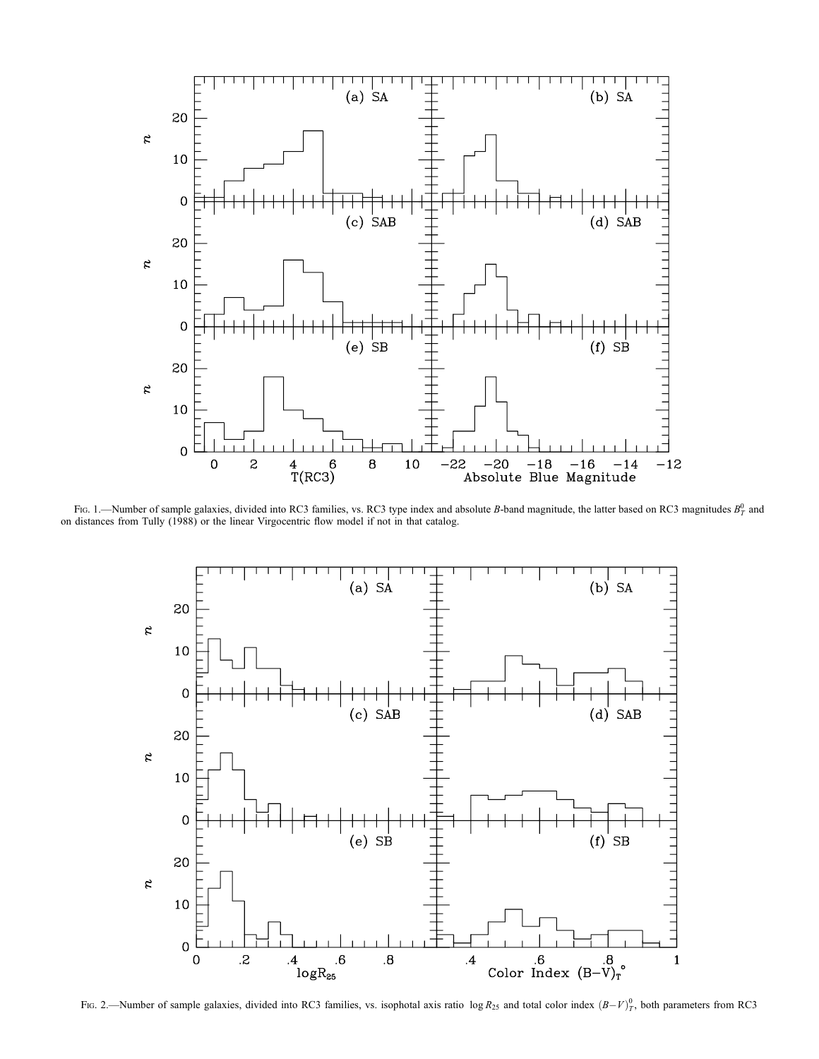

Fig. 1.—Number of sample galaxies, divided into RC3 families, vs. RC3 type index and absolute B-band magnitude, the latter based on RC3 magnitudes  $B_T^0$  and on distances from Tully (1988) or the linear Virgocentric flow model if not in that catalog.



Fig. 2.—Number of sample galaxies, divided into RC3 families, vs. isophotal axis ratio  $\log R_{25}$  and total color index  $(B-V)^0_T$ , both parameters from RC3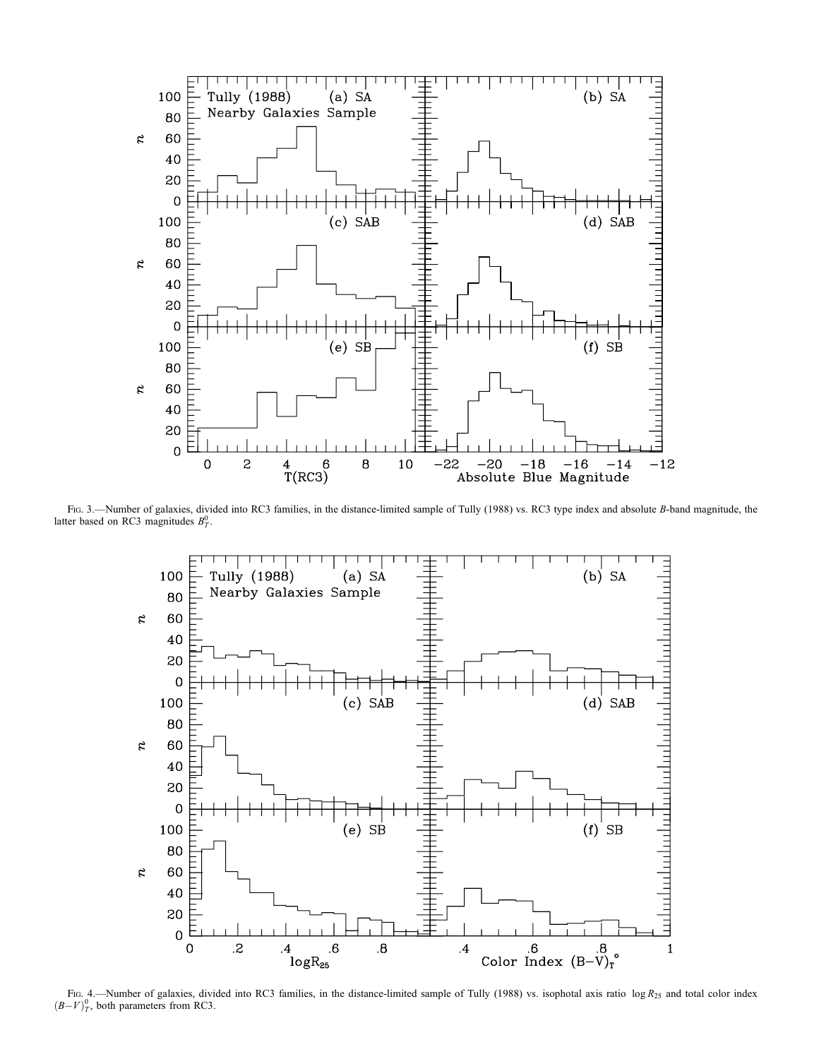

Fig. 3.—Number of galaxies, divided into RC3 families, in the distance-limited sample of Tully (1988) vs. RC3 type index and absolute B-band magnitude, the latter based on RC3 magnitudes  $B_T^0$ .



Fig. 4.—Number of galaxies, divided into RC3 families, in the distance-limited sample of Tully (1988) vs. isophotal axis ratio log  $R_{25}$  and total color index  $(B-V)^0_T$ , both parameters from RC3.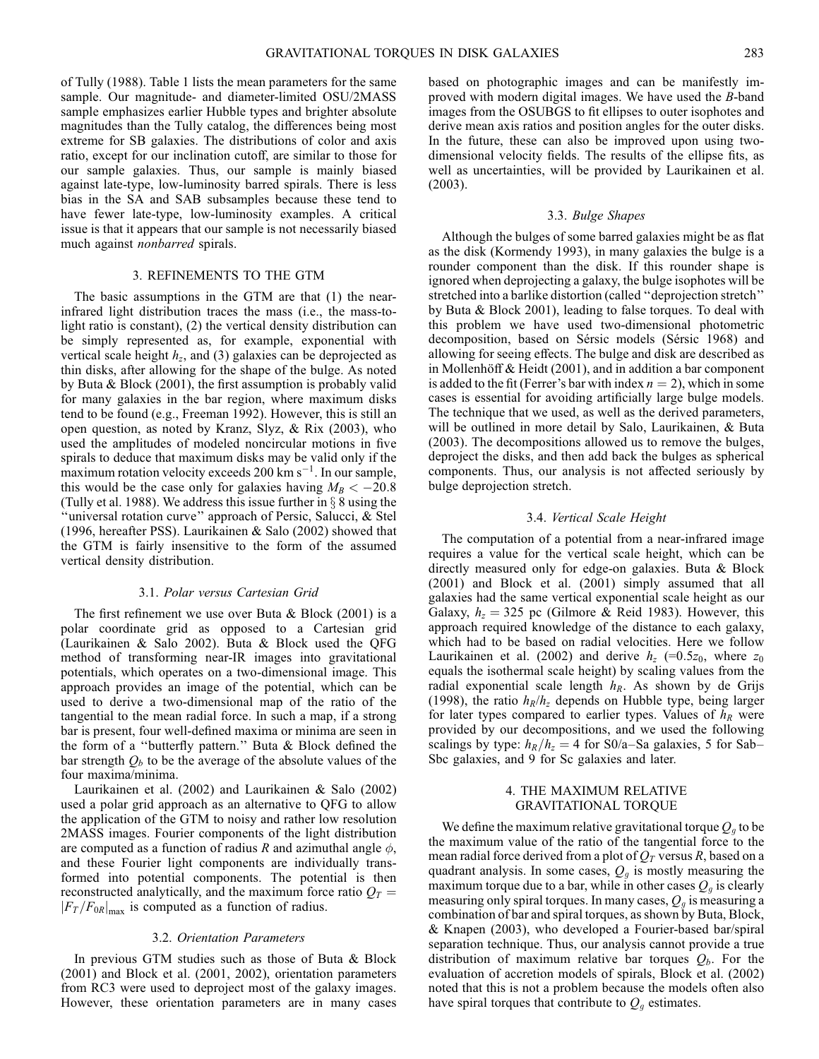of Tully (1988). Table 1 lists the mean parameters for the same sample. Our magnitude- and diameter-limited OSU/2MASS sample emphasizes earlier Hubble types and brighter absolute magnitudes than the Tully catalog, the differences being most extreme for SB galaxies. The distributions of color and axis ratio, except for our inclination cutoff, are similar to those for our sample galaxies. Thus, our sample is mainly biased against late-type, low-luminosity barred spirals. There is less bias in the SA and SAB subsamples because these tend to have fewer late-type, low-luminosity examples. A critical issue is that it appears that our sample is not necessarily biased much against nonbarred spirals.

### 3. REFINEMENTS TO THE GTM

The basic assumptions in the GTM are that (1) the nearinfrared light distribution traces the mass (i.e., the mass-tolight ratio is constant), (2) the vertical density distribution can be simply represented as, for example, exponential with vertical scale height  $h_z$ , and (3) galaxies can be deprojected as thin disks, after allowing for the shape of the bulge. As noted by Buta & Block (2001), the first assumption is probably valid for many galaxies in the bar region, where maximum disks tend to be found (e.g., Freeman 1992). However, this is still an open question, as noted by Kranz, Slyz, & Rix (2003), who used the amplitudes of modeled noncircular motions in five spirals to deduce that maximum disks may be valid only if the maximum rotation velocity exceeds 200 km  $s^{-1}$ . In our sample, this would be the case only for galaxies having  $M_B < -20.8$ (Tully et al. 1988). We address this issue further in  $\S$  8 using the ''universal rotation curve'' approach of Persic, Salucci, & Stel (1996, hereafter PSS). Laurikainen & Salo (2002) showed that the GTM is fairly insensitive to the form of the assumed vertical density distribution.

#### 3.1. Polar versus Cartesian Grid

The first refinement we use over Buta  $& Block(2001)$  is a polar coordinate grid as opposed to a Cartesian grid (Laurikainen & Salo 2002). Buta & Block used the QFG method of transforming near-IR images into gravitational potentials, which operates on a two-dimensional image. This approach provides an image of the potential, which can be used to derive a two-dimensional map of the ratio of the tangential to the mean radial force. In such a map, if a strong bar is present, four well-defined maxima or minima are seen in the form of a ''butterfly pattern.'' Buta & Block defined the bar strength  $Q_b$  to be the average of the absolute values of the four maxima/minima.

Laurikainen et al. (2002) and Laurikainen & Salo (2002) used a polar grid approach as an alternative to QFG to allow the application of the GTM to noisy and rather low resolution 2MASS images. Fourier components of the light distribution are computed as a function of radius R and azimuthal angle  $\phi$ , and these Fourier light components are individually transformed into potential components. The potential is then reconstructed analytically, and the maximum force ratio  $Q_T$  =  $|F_T/F_{0R}|_{\text{max}}$  is computed as a function of radius.

#### 3.2. Orientation Parameters

In previous GTM studies such as those of Buta & Block (2001) and Block et al. (2001, 2002), orientation parameters from RC3 were used to deproject most of the galaxy images. However, these orientation parameters are in many cases based on photographic images and can be manifestly improved with modern digital images. We have used the B-band images from the OSUBGS to fit ellipses to outer isophotes and derive mean axis ratios and position angles for the outer disks. In the future, these can also be improved upon using twodimensional velocity fields. The results of the ellipse fits, as well as uncertainties, will be provided by Laurikainen et al. (2003).

#### 3.3. Bulge Shapes

Although the bulges of some barred galaxies might be as flat as the disk (Kormendy 1993), in many galaxies the bulge is a rounder component than the disk. If this rounder shape is ignored when deprojecting a galaxy, the bulge isophotes will be stretched into a barlike distortion (called ''deprojection stretch'' by Buta & Block 2001), leading to false torques. To deal with this problem we have used two-dimensional photometric decomposition, based on Sérsic models (Sérsic 1968) and allowing for seeing effects. The bulge and disk are described as in Mollenhöff  $&$  Heidt (2001), and in addition a bar component is added to the fit (Ferrer's bar with index  $n = 2$ ), which in some cases is essential for avoiding artificially large bulge models. The technique that we used, as well as the derived parameters, will be outlined in more detail by Salo, Laurikainen, & Buta (2003). The decompositions allowed us to remove the bulges, deproject the disks, and then add back the bulges as spherical components. Thus, our analysis is not affected seriously by bulge deprojection stretch.

#### 3.4. Vertical Scale Height

The computation of a potential from a near-infrared image requires a value for the vertical scale height, which can be directly measured only for edge-on galaxies. Buta & Block (2001) and Block et al. (2001) simply assumed that all galaxies had the same vertical exponential scale height as our Galaxy,  $h_z = 325$  pc (Gilmore & Reid 1983). However, this approach required knowledge of the distance to each galaxy, which had to be based on radial velocities. Here we follow Laurikainen et al. (2002) and derive  $h<sub>z</sub>$  (=0.5 $z<sub>0</sub>$ , where  $z<sub>0</sub>$ equals the isothermal scale height) by scaling values from the radial exponential scale length  $h_R$ . As shown by de Grijs (1998), the ratio  $h_R/h_z$  depends on Hubble type, being larger for later types compared to earlier types. Values of  $h_R$  were provided by our decompositions, and we used the following scalings by type:  $h_R/h_z = 4$  for S0/a–Sa galaxies, 5 for Sab– Sbc galaxies, and 9 for Sc galaxies and later.

# 4. THE MAXIMUM RELATIVE GRAVITATIONAL TORQUE

We define the maximum relative gravitational torque  $Q<sub>g</sub>$  to be the maximum value of the ratio of the tangential force to the mean radial force derived from a plot of  $Q_T$  versus R, based on a quadrant analysis. In some cases,  $Q<sub>g</sub>$  is mostly measuring the maximum torque due to a bar, while in other cases  $Q_q$  is clearly measuring only spiral torques. In many cases,  $Q_q$  is measuring a combination of bar and spiral torques, as shown by Buta, Block, & Knapen (2003), who developed a Fourier-based bar/spiral separation technique. Thus, our analysis cannot provide a true distribution of maximum relative bar torques  $Q_b$ . For the evaluation of accretion models of spirals, Block et al. (2002) noted that this is not a problem because the models often also have spiral torques that contribute to  $Q<sub>g</sub>$  estimates.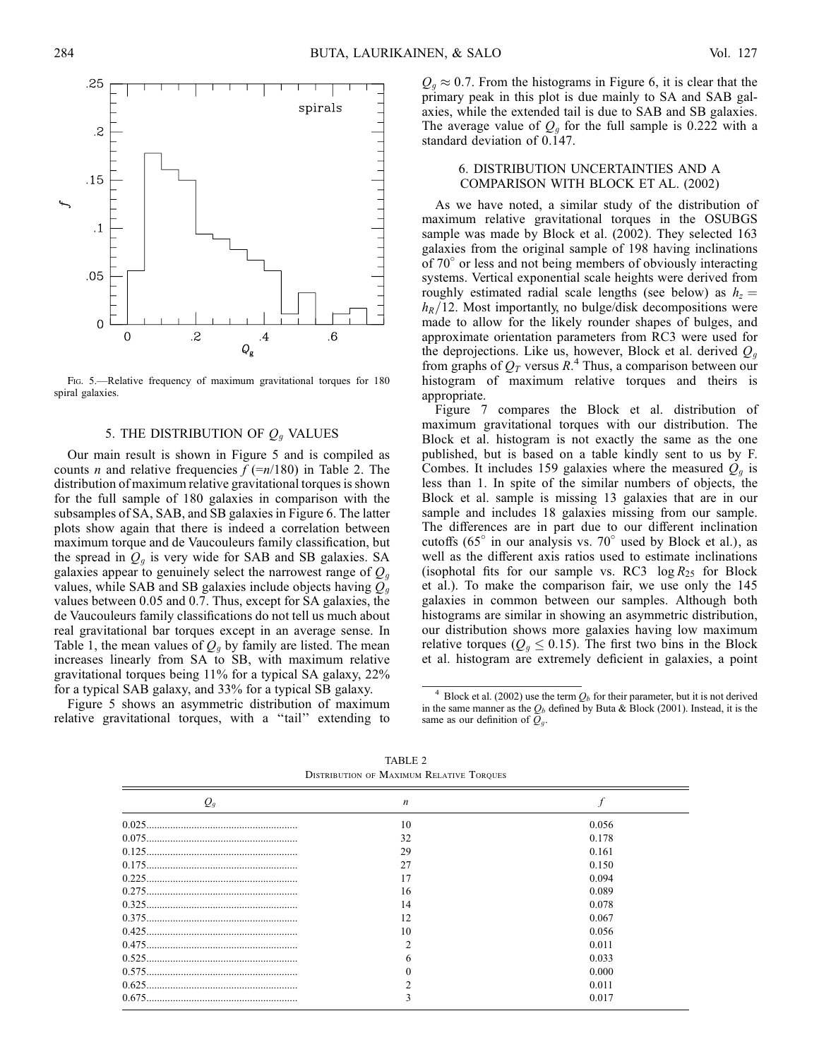

FIG. 5.-Relative frequency of maximum gravitational torques for 180 spiral galaxies.

# 5. THE DISTRIBUTION OF  $Q_g$  VALUES

Our main result is shown in Figure 5 and is compiled as counts *n* and relative frequencies  $f$  (=n/180) in Table 2. The distribution of maximum relative gravitational torques is shown for the full sample of 180 galaxies in comparison with the subsamples of SA, SAB, and SB galaxies in Figure 6. The latter plots show again that there is indeed a correlation between maximum torque and de Vaucouleurs family classification, but the spread in  $Q_q$  is very wide for SAB and SB galaxies. SA galaxies appear to genuinely select the narrowest range of  $Q_g$ values, while SAB and SB galaxies include objects having  $Q_q$ values between 0.05 and 0.7. Thus, except for SA galaxies, the de Vaucouleurs family classifications do not tell us much about real gravitational bar torques except in an average sense. In Table 1, the mean values of  $Q_q$  by family are listed. The mean increases linearly from SA to SB, with maximum relative gravitational torques being 11% for a typical SA galaxy, 22% for a typical SAB galaxy, and 33% for a typical SB galaxy.

Figure 5 shows an asymmetric distribution of maximum relative gravitational torques, with a "tail" extending to  $Q_q \approx 0.7$ . From the histograms in Figure 6, it is clear that the primary peak in this plot is due mainly to SA and SAB galaxies, while the extended tail is due to SAB and SB galaxies. The average value of  $Q<sub>g</sub>$  for the full sample is 0.222 with a standard deviation of 0.147.

# 6. DISTRIBUTION UNCERTAINTIES AND A COMPARISON WITH BLOCK ET AL. (2002)

As we have noted, a similar study of the distribution of maximum relative gravitational torques in the OSUBGS sample was made by Block et al. (2002). They selected 163 galaxies from the original sample of 198 having inclinations of  $70^{\circ}$  or less and not being members of obviously interacting systems. Vertical exponential scale heights were derived from roughly estimated radial scale lengths (see below) as  $h<sub>z</sub> =$  $h_R/12$ . Most importantly, no bulge/disk decompositions were made to allow for the likely rounder shapes of bulges, and approximate orientation parameters from RC3 were used for the deprojections. Like us, however, Block et al. derived  $Q_q$ from graphs of  $Q_T$  versus  $R^4$ . Thus, a comparison between our histogram of maximum relative torques and theirs is appropriate.

Figure 7 compares the Block et al. distribution of maximum gravitational torques with our distribution. The Block et al. histogram is not exactly the same as the one published, but is based on a table kindly sent to us by F. Combes. It includes 159 galaxies where the measured  $Q<sub>q</sub>$  is less than 1. In spite of the similar numbers of objects, the Block et al. sample is missing 13 galaxies that are in our sample and includes 18 galaxies missing from our sample. The differences are in part due to our different inclination cutoffs ( $65^\circ$  in our analysis vs.  $70^\circ$  used by Block et al.), as well as the different axis ratios used to estimate inclinations (isophotal fits for our sample vs. RC3  $log R_{25}$  for Block et al.). To make the comparison fair, we use only the 145 galaxies in common between our samples. Although both histograms are similar in showing an asymmetric distribution, our distribution shows more galaxies having low maximum relative torques ( $Q_g \le 0.15$ ). The first two bins in the Block et al. histogram are extremely deficient in galaxies, a point

| $\mathcal{Q}_q$ | $\boldsymbol{n}$ |       |
|-----------------|------------------|-------|
|                 | 10               | 0.056 |
|                 | 32               | 0.178 |
|                 | 29               | 0.161 |
|                 | 27               | 0.150 |
|                 |                  | 0.094 |
|                 | 16               | 0.089 |
|                 | 14               | 0.078 |
|                 | 12               | 0.067 |
|                 | 10               | 0.056 |
|                 |                  | 0.011 |
|                 |                  | 0.033 |
|                 |                  | 0.000 |
|                 |                  | 0.011 |
|                 | 3                | 0.017 |

TABLE 2 Distribution of Maximum Relative Torques

<sup>&</sup>lt;sup>4</sup> Block et al. (2002) use the term  $Q_b$  for their parameter, but it is not derived in the same manner as the  $Q_b$  defined by Buta & Block (2001). Instead, it is the same as our definition of  $Q_g$ .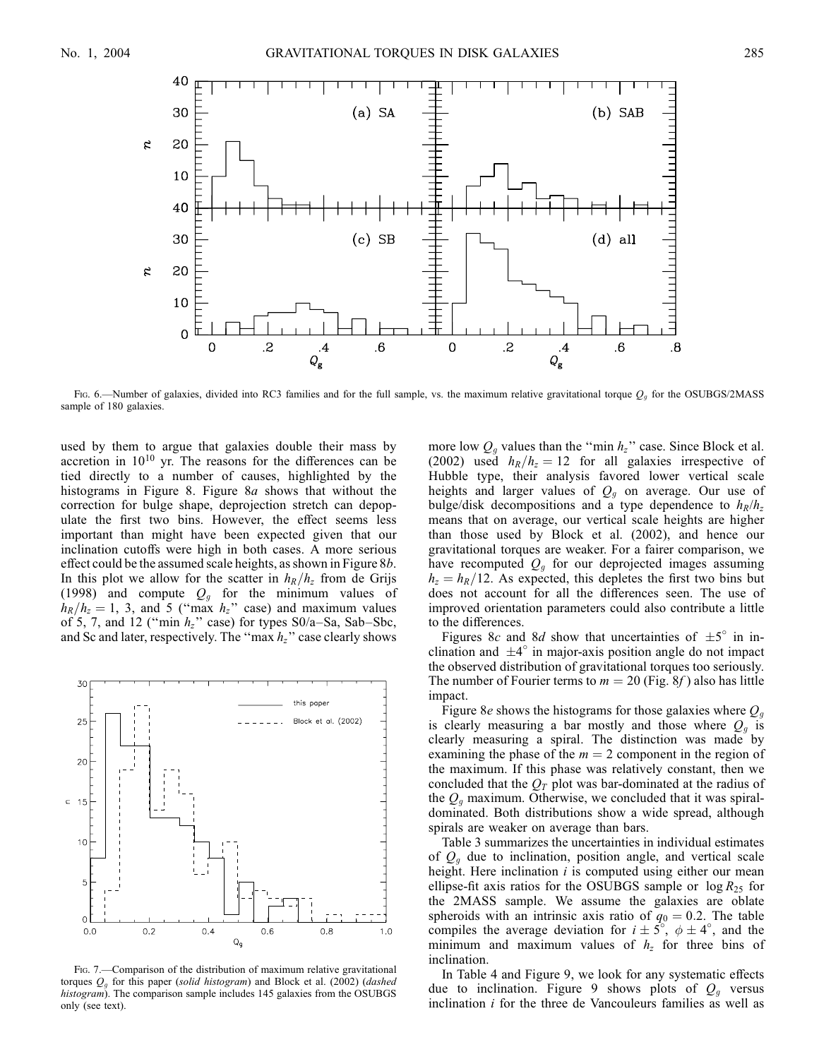

Fig. 6.—Number of galaxies, divided into RC3 families and for the full sample, vs. the maximum relative gravitational torque  $Q_g$  for the OSUBGS/2MASS sample of 180 galaxies.

used by them to argue that galaxies double their mass by accretion in  $10^{10}$  yr. The reasons for the differences can be tied directly to a number of causes, highlighted by the histograms in Figure 8. Figure 8a shows that without the correction for bulge shape, deprojection stretch can depopulate the first two bins. However, the effect seems less important than might have been expected given that our inclination cutoffs were high in both cases. A more serious effect could be the assumed scale heights, as shown in Figure 8b. In this plot we allow for the scatter in  $h_R/h_z$  from de Grijs (1998) and compute  $Q<sub>g</sub>$  for the minimum values of  $h_R/h_z=1$ , 3, and 5 ("max  $h_z$ " case) and maximum values of 5, 7, and 12 ("min  $h_z$ " case) for types S0/a–Sa, Sab–Sbc, and Sc and later, respectively. The "max  $h_z$ " case clearly shows



FIG. 7. - Comparison of the distribution of maximum relative gravitational torques  $Q<sub>g</sub>$  for this paper (solid histogram) and Block et al. (2002) (dashed histogram). The comparison sample includes 145 galaxies from the OSUBGS only (see text).

more low  $Q_g$  values than the "min  $h_z$ " case. Since Block et al. (2002) used  $h_R/h_z = 12$  for all galaxies irrespective of Hubble type, their analysis favored lower vertical scale heights and larger values of  $Q<sub>g</sub>$  on average. Our use of bulge/disk decompositions and a type dependence to  $h_R/h_z$ means that on average, our vertical scale heights are higher than those used by Block et al. (2002), and hence our gravitational torques are weaker. For a fairer comparison, we have recomputed  $Q<sub>g</sub>$  for our deprojected images assuming  $h_z = h_R/12$ . As expected, this depletes the first two bins but does not account for all the differences seen. The use of improved orientation parameters could also contribute a little to the differences.

Figures 8c and 8d show that uncertainties of  $\pm 5^{\circ}$  in inclination and  $\pm 4^\circ$  in major-axis position angle do not impact the observed distribution of gravitational torques too seriously. The number of Fourier terms to  $m = 20$  (Fig. 8f) also has little impact.

Figure 8e shows the histograms for those galaxies where  $Q_q$ is clearly measuring a bar mostly and those where  $Q_q$  is clearly measuring a spiral. The distinction was made by examining the phase of the  $m = 2$  component in the region of the maximum. If this phase was relatively constant, then we concluded that the  $Q_T$  plot was bar-dominated at the radius of the  $Q_q$  maximum. Otherwise, we concluded that it was spiraldominated. Both distributions show a wide spread, although spirals are weaker on average than bars.

Table 3 summarizes the uncertainties in individual estimates of  $Q_{q}$  due to inclination, position angle, and vertical scale height. Here inclination  $i$  is computed using either our mean ellipse-fit axis ratios for the OSUBGS sample or  $log R_{25}$  for the 2MASS sample. We assume the galaxies are oblate spheroids with an intrinsic axis ratio of  $q_0 = 0.2$ . The table compiles the average deviation for  $i \pm 5^\circ$ ,  $\phi \pm 4^\circ$ , and the minimum and maximum values of  $h<sub>z</sub>$  for three bins of inclination.

In Table 4 and Figure 9, we look for any systematic effects due to inclination. Figure 9 shows plots of  $Q_q$  versus inclination *i* for the three de Vancouleurs families as well as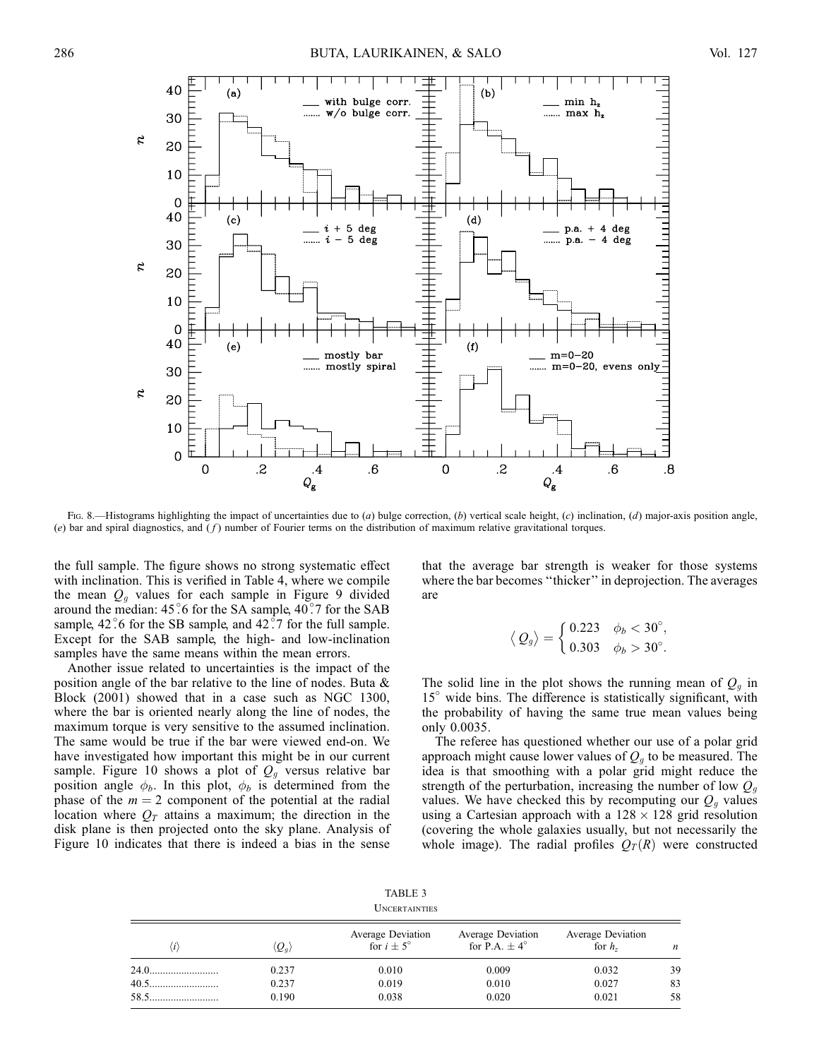

Fig. 8.—Histograms highlighting the impact of uncertainties due to  $(a)$  bulge correction,  $(b)$  vertical scale height,  $(c)$  inclination,  $(d)$  major-axis position angle, (e) bar and spiral diagnostics, and  $(f)$  number of Fourier terms on the distribution of maximum relative gravitational torques.

the full sample. The figure shows no strong systematic effect with inclination. This is verified in Table 4, where we compile the mean  $Q_q$  values for each sample in Figure 9 divided around the median:  $45\degree$ 6 for the SA sample,  $40\degree$ 7 for the SAB sample,  $42^\circ$  6 for the SB sample, and  $42^\circ$  7 for the full sample. Except for the SAB sample, the high- and low-inclination samples have the same means within the mean errors.

Another issue related to uncertainties is the impact of the position angle of the bar relative to the line of nodes. Buta & Block (2001) showed that in a case such as NGC 1300, where the bar is oriented nearly along the line of nodes, the maximum torque is very sensitive to the assumed inclination. The same would be true if the bar were viewed end-on. We have investigated how important this might be in our current sample. Figure 10 shows a plot of  $Q_g$  versus relative bar position angle  $\phi_b$ . In this plot,  $\phi_b$  is determined from the phase of the  $m = 2$  component of the potential at the radial location where  $Q_T$  attains a maximum; the direction in the disk plane is then projected onto the sky plane. Analysis of Figure 10 indicates that there is indeed a bias in the sense

that the average bar strength is weaker for those systems where the bar becomes "thicker" in deprojection. The averages are

$$
\langle Q_g \rangle = \begin{cases} 0.223 & \phi_b < 30^\circ, \\ 0.303 & \phi_b > 30^\circ. \end{cases}
$$

The solid line in the plot shows the running mean of  $Q_q$  in  $15^\circ$  wide bins. The difference is statistically significant, with the probability of having the same true mean values being only 0.0035.

The referee has questioned whether our use of a polar grid approach might cause lower values of  $Q_q$  to be measured. The idea is that smoothing with a polar grid might reduce the strength of the perturbation, increasing the number of low  $Q_q$ values. We have checked this by recomputing our  $Q_q$  values using a Cartesian approach with a  $128 \times 128$  grid resolution (covering the whole galaxies usually, but not necessarily the whole image). The radial profiles  $Q_T(R)$  were constructed

| TABLE 3       |  |
|---------------|--|
| UNCERTAINTIES |  |

| $\iota$ | $\langle Q_a \rangle$ | Average Deviation<br>for $i \pm 5^\circ$ | Average Deviation<br>for P.A. $+4^{\circ}$ | Average Deviation<br>for $hz$ | n  |
|---------|-----------------------|------------------------------------------|--------------------------------------------|-------------------------------|----|
|         | 0.237                 | 0.010                                    | 0.009                                      | 0.032                         | 39 |
| $40.5$  | 0.237                 | 0.019                                    | 0.010                                      | 0.027                         | 83 |
|         | 0.190                 | 0.038                                    | 0.020                                      | 0.021                         | 58 |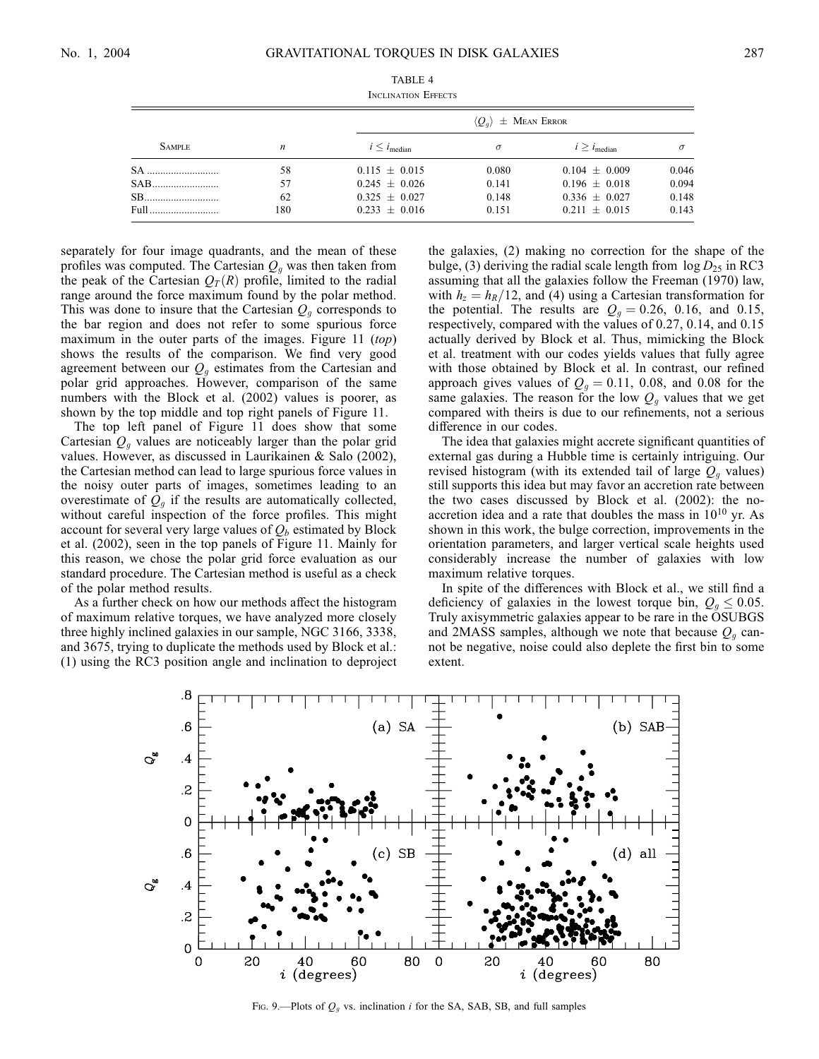|               |     | $\langle Q_a \rangle$ $\pm$ Mean Error |          |                            |          |
|---------------|-----|----------------------------------------|----------|----------------------------|----------|
| <b>SAMPLE</b> | n   | $i \leq i_{\text{median}}$             | $\sigma$ | $i \geq i_{\text{median}}$ | $\sigma$ |
| SA.           | 58  | $0.115 \pm 0.015$                      | 0.080    | $0.104 \pm 0.009$          | 0.046    |
| SAB           | 57  | $0.245 \pm 0.026$                      | 0.141    | $0.196 \pm 0.018$          | 0.094    |
|               | 62  | $0.325 \pm 0.027$                      | 0.148    | $0.336 \pm 0.027$          | 0.148    |
| Full.         | 180 | $0.233 + 0.016$                        | 0.151    | $0.211 + 0.015$            | 0.143    |

TABLE 4 Inclination Effects

separately for four image quadrants, and the mean of these profiles was computed. The Cartesian  $Q_q$  was then taken from the peak of the Cartesian  $Q_T(R)$  profile, limited to the radial range around the force maximum found by the polar method. This was done to insure that the Cartesian  $Q<sub>q</sub>$  corresponds to the bar region and does not refer to some spurious force maximum in the outer parts of the images. Figure 11  $(top)$ shows the results of the comparison. We find very good agreement between our  $Q_q$  estimates from the Cartesian and polar grid approaches. However, comparison of the same numbers with the Block et al. (2002) values is poorer, as shown by the top middle and top right panels of Figure 11.

The top left panel of Figure 11 does show that some Cartesian  $Q_q$  values are noticeably larger than the polar grid values. However, as discussed in Laurikainen & Salo (2002), the Cartesian method can lead to large spurious force values in the noisy outer parts of images, sometimes leading to an overestimate of  $Q<sub>q</sub>$  if the results are automatically collected, without careful inspection of the force profiles. This might account for several very large values of  $Q_b$  estimated by Block et al. (2002), seen in the top panels of Figure 11. Mainly for this reason, we chose the polar grid force evaluation as our standard procedure. The Cartesian method is useful as a check of the polar method results.

As a further check on how our methods affect the histogram of maximum relative torques, we have analyzed more closely three highly inclined galaxies in our sample, NGC 3166, 3338, and 3675, trying to duplicate the methods used by Block et al.: (1) using the RC3 position angle and inclination to deproject the galaxies, (2) making no correction for the shape of the bulge, (3) deriving the radial scale length from  $\log D_{25}$  in RC3 assuming that all the galaxies follow the Freeman (1970) law, with  $h_z = h_R/12$ , and (4) using a Cartesian transformation for the potential. The results are  $Q_g = 0.26$ , 0.16, and 0.15, respectively, compared with the values of 0.27, 0.14, and 0.15 actually derived by Block et al. Thus, mimicking the Block et al. treatment with our codes yields values that fully agree with those obtained by Block et al. In contrast, our refined approach gives values of  $Q<sub>g</sub> = 0.11, 0.08,$  and 0.08 for the same galaxies. The reason for the low  $Q<sub>q</sub>$  values that we get compared with theirs is due to our refinements, not a serious difference in our codes.

The idea that galaxies might accrete significant quantities of external gas during a Hubble time is certainly intriguing. Our revised histogram (with its extended tail of large  $Q<sub>g</sub>$  values) still supports this idea but may favor an accretion rate between the two cases discussed by Block et al. (2002): the noaccretion idea and a rate that doubles the mass in  $10^{10}$  yr. As shown in this work, the bulge correction, improvements in the orientation parameters, and larger vertical scale heights used considerably increase the number of galaxies with low maximum relative torques.

In spite of the differences with Block et al., we still find a deficiency of galaxies in the lowest torque bin,  $Q_g \le 0.05$ . Truly axisymmetric galaxies appear to be rare in the OSUBGS and 2MASS samples, although we note that because  $Q<sub>g</sub>$  cannot be negative, noise could also deplete the first bin to some extent.



FIG. 9.—Plots of  $Q_q$  vs. inclination i for the SA, SAB, SB, and full samples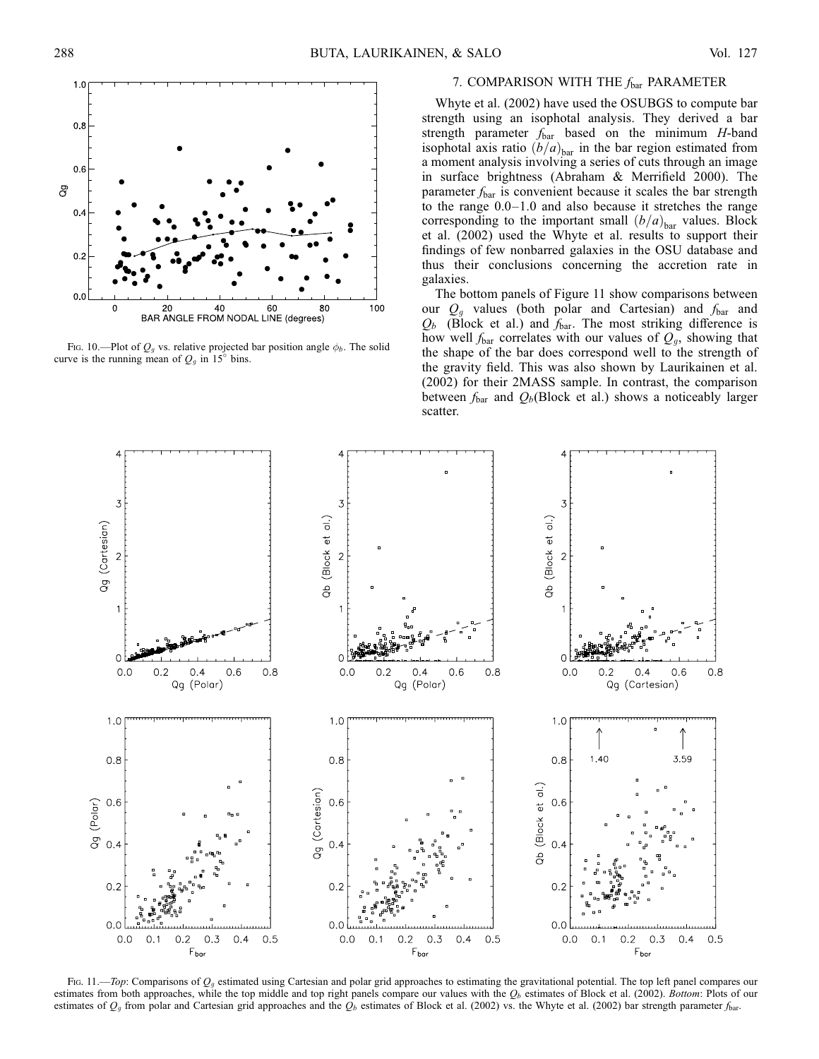

Fig. 10.—Plot of  $Q<sub>g</sub>$  vs. relative projected bar position angle  $\phi<sub>b</sub>$ . The solid curve is the running mean of  $Q<sub>g</sub>$  in 15° bins.

# 7. COMPARISON WITH THE  $f_{\text{bar}}$  PARAMETER

Whyte et al. (2002) have used the OSUBGS to compute bar strength using an isophotal analysis. They derived a bar strength parameter  $f_{\text{bar}}$  based on the minimum H-band isophotal axis ratio  $(b/a)_{\text{bar}}$  in the bar region estimated from a moment analysis involving a series of cuts through an image in surface brightness (Abraham & Merrifield 2000). The parameter  $f_{\text{bar}}$  is convenient because it scales the bar strength to the range 0.0–1.0 and also because it stretches the range corresponding to the important small  $(b/a)_{\text{bar}}$  values. Block et al. (2002) used the Whyte et al. results to support their findings of few nonbarred galaxies in the OSU database and thus their conclusions concerning the accretion rate in galaxies.

The bottom panels of Figure 11 show comparisons between our  $Q_q$  values (both polar and Cartesian) and  $f_{bar}$  and  $Q_b$  (Block et al.) and  $f_{\text{bar}}$ . The most striking difference is how well  $f_{\text{bar}}$  correlates with our values of  $Q_g$ , showing that the shape of the bar does correspond well to the strength of the gravity field. This was also shown by Laurikainen et al. (2002) for their 2MASS sample. In contrast, the comparison between  $f_{\text{bar}}$  and  $Q_b$ (Block et al.) shows a noticeably larger scatter.



Fig. 11.—Top: Comparisons of  $O<sub>g</sub>$  estimated using Cartesian and polar grid approaches to estimating the gravitational potential. The top left panel compares our estimates from both approaches, while the top middle and top right panels compare our values with the  $Q_b$  estimates of Block et al. (2002). Bottom: Plots of our estimates of  $Q<sub>g</sub>$  from polar and Cartesian grid approaches and the  $Q<sub>b</sub>$  estimates of Block et al. (2002) vs. the Whyte et al. (2002) bar strength parameter  $f<sub>bar</sub>$ .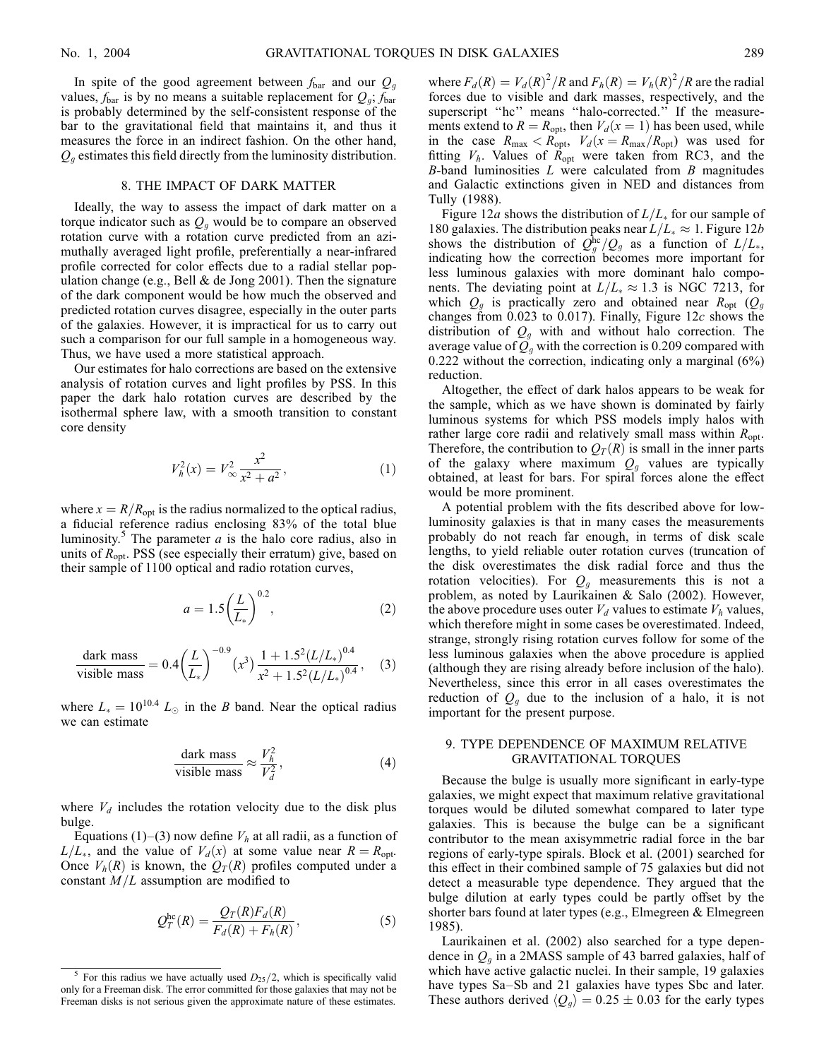In spite of the good agreement between  $f_{\text{bar}}$  and our  $Q_q$ values,  $f_{\text{bar}}$  is by no means a suitable replacement for  $Q_{q}$ ;  $f_{\text{bar}}$ is probably determined by the self-consistent response of the bar to the gravitational field that maintains it, and thus it measures the force in an indirect fashion. On the other hand,  $Q_q$  estimates this field directly from the luminosity distribution.

#### 8. THE IMPACT OF DARK MATTER

Ideally, the way to assess the impact of dark matter on a torque indicator such as  $Q_q$  would be to compare an observed rotation curve with a rotation curve predicted from an azimuthally averaged light profile, preferentially a near-infrared profile corrected for color effects due to a radial stellar population change (e.g., Bell  $&$  de Jong 2001). Then the signature of the dark component would be how much the observed and predicted rotation curves disagree, especially in the outer parts of the galaxies. However, it is impractical for us to carry out such a comparison for our full sample in a homogeneous way. Thus, we have used a more statistical approach.

Our estimates for halo corrections are based on the extensive analysis of rotation curves and light profiles by PSS. In this paper the dark halo rotation curves are described by the isothermal sphere law, with a smooth transition to constant core density

$$
V_h^2(x) = V_\infty^2 \frac{x^2}{x^2 + a^2},\tag{1}
$$

where  $x = R/R<sub>opt</sub>$  is the radius normalized to the optical radius, a fiducial reference radius enclosing 83% of the total blue luminosity.<sup>5</sup> The parameter  $a$  is the halo core radius, also in units of  $R_{\text{opt}}$ . PSS (see especially their erratum) give, based on their sample of 1100 optical and radio rotation curves,

$$
a = 1.5 \left(\frac{L}{L_*}\right)^{0.2},\tag{2}
$$

$$
\frac{\text{dark mass}}{\text{visible mass}} = 0.4 \left(\frac{L}{L_*}\right)^{-0.9} (x^3) \frac{1 + 1.5^2 (L/L_*)^{0.4}}{x^2 + 1.5^2 (L/L_*)^{0.4}},\tag{3}
$$

where  $L_* = 10^{10.4} L_{\odot}$  in the B band. Near the optical radius we can estimate

$$
\frac{\text{dark mass}}{\text{visible mass}} \approx \frac{V_h^2}{V_d^2},\tag{4}
$$

where  $V_d$  includes the rotation velocity due to the disk plus bulge.

Equations (1)–(3) now define  $V_h$  at all radii, as a function of  $L/L_*$ , and the value of  $V_d(x)$  at some value near  $R = R_{\text{opt}}$ . Once  $V_h(R)$  is known, the  $Q_T(R)$  profiles computed under a constant  $M/L$  assumption are modified to

$$
Q_T^{\text{hc}}(R) = \frac{Q_T(R)F_d(R)}{F_d(R) + F_h(R)},
$$
\n(5)

where  $F_d(R) = V_d(R)^2/R$  and  $F_h(R) = V_h(R)^2/R$  are the radial forces due to visible and dark masses, respectively, and the superscript "hc" means "halo-corrected." If the measurements extend to  $R = R_{\text{opt}}$ , then  $V_d(x = 1)$  has been used, while in the case  $R_{\text{max}} < R_{\text{opt}}$ ,  $V_d(x=R_{\text{max}}/R_{\text{opt}})$  was used for fitting  $V_h$ . Values of  $R_{opt}$  were taken from RC3, and the  $B$ -band luminosities  $L$  were calculated from  $B$  magnitudes and Galactic extinctions given in NED and distances from Tully (1988).

Figure 12a shows the distribution of  $L/L_*$  for our sample of 180 galaxies. The distribution peaks near  $L/L_* \approx 1$ . Figure 12b shows the distribution of  $Q_g^{\text{hc}}/Q_g$  as a function of  $L/L_*$ , indicating how the correction becomes more important for less luminous galaxies with more dominant halo components. The deviating point at  $L/L_* \approx 1.3$  is NGC 7213, for which  $Q_g$  is practically zero and obtained near  $R_{\text{opt}}$  ( $Q_g$ changes from 0.023 to 0.017). Finally, Figure  $12c$  shows the distribution of  $Q_g$  with and without halo correction. The average value of  $\overline{Q}_q$  with the correction is 0.209 compared with 0.222 without the correction, indicating only a marginal (6%) reduction.

Altogether, the effect of dark halos appears to be weak for the sample, which as we have shown is dominated by fairly luminous systems for which PSS models imply halos with rather large core radii and relatively small mass within  $R_{\text{opt}}$ . Therefore, the contribution to  $Q_T(R)$  is small in the inner parts of the galaxy where maximum  $Q_q$  values are typically obtained, at least for bars. For spiral forces alone the effect would be more prominent.

A potential problem with the fits described above for lowluminosity galaxies is that in many cases the measurements probably do not reach far enough, in terms of disk scale lengths, to yield reliable outer rotation curves (truncation of the disk overestimates the disk radial force and thus the rotation velocities). For  $Q_q$  measurements this is not a problem, as noted by Laurikainen & Salo (2002). However, the above procedure uses outer  $V_d$  values to estimate  $V_h$  values, which therefore might in some cases be overestimated. Indeed, strange, strongly rising rotation curves follow for some of the less luminous galaxies when the above procedure is applied (although they are rising already before inclusion of the halo). Nevertheless, since this error in all cases overestimates the reduction of  $Q_g$  due to the inclusion of a halo, it is not important for the present purpose.

### 9. TYPE DEPENDENCE OF MAXIMUM RELATIVE GRAVITATIONAL TORQUES

Because the bulge is usually more significant in early-type galaxies, we might expect that maximum relative gravitational torques would be diluted somewhat compared to later type galaxies. This is because the bulge can be a significant contributor to the mean axisymmetric radial force in the bar regions of early-type spirals. Block et al. (2001) searched for this effect in their combined sample of 75 galaxies but did not detect a measurable type dependence. They argued that the bulge dilution at early types could be partly offset by the shorter bars found at later types (e.g., Elmegreen & Elmegreen 1985).

Laurikainen et al. (2002) also searched for a type dependence in  $Q<sub>g</sub>$  in a 2MASS sample of 43 barred galaxies, half of which have active galactic nuclei. In their sample, 19 galaxies have types Sa–Sb and 21 galaxies have types Sbc and later. These authors derived  $\langle Q_q \rangle = 0.25 \pm 0.03$  for the early types

<sup>&</sup>lt;sup>5</sup> For this radius we have actually used  $D_{25}/2$ , which is specifically valid only for a Freeman disk. The error committed for those galaxies that may not be Freeman disks is not serious given the approximate nature of these estimates.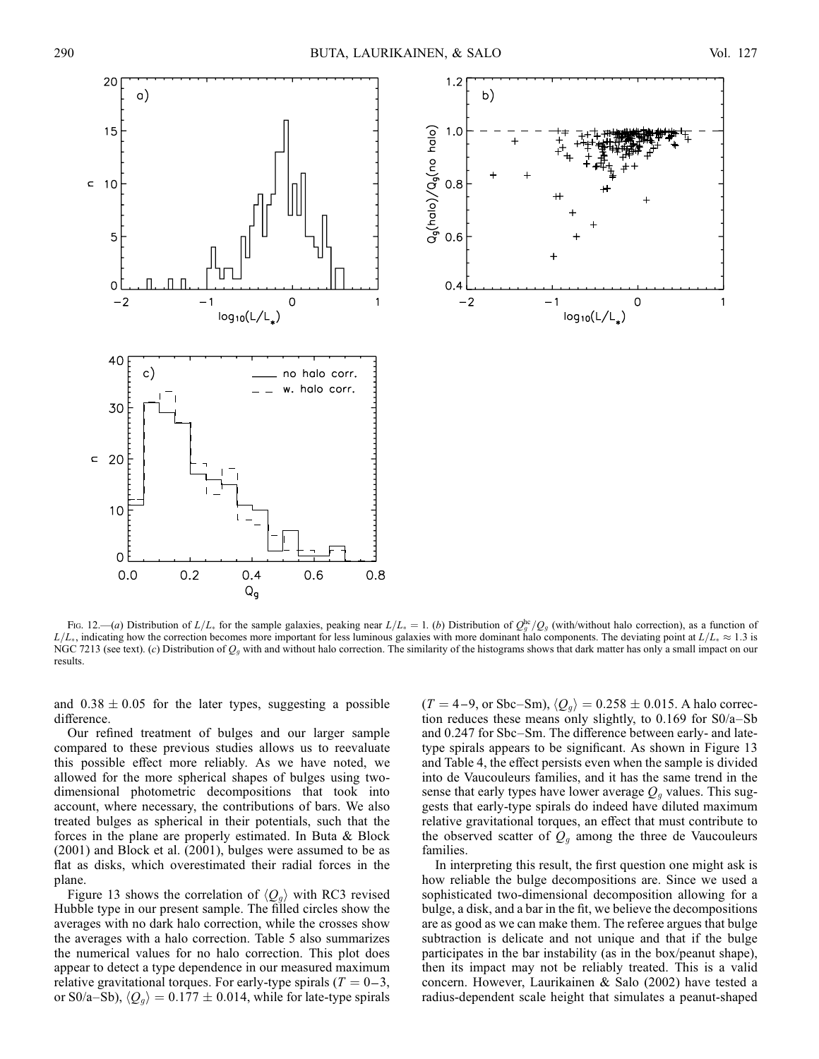



Fig. 12.—(a) Distribution of  $L/L_*$  for the sample galaxies, peaking near  $L/L_* = 1$ . (b) Distribution of  $Q_g^{\text{he}}/Q_g$  (with/without halo correction), as a function of  $L/L_*$ , indicating how the correction becomes more important for less luminous galaxies with more dominant halo components. The deviating point at  $L/L_* \approx 1.3$  is NGC 7213 (see text). (c) Distribution of  $Q<sub>g</sub>$  with and without halo correction. The similarity of the histograms shows that dark matter has only a small impact on our results.

and  $0.38 \pm 0.05$  for the later types, suggesting a possible difference.

Our refined treatment of bulges and our larger sample compared to these previous studies allows us to reevaluate this possible effect more reliably. As we have noted, we allowed for the more spherical shapes of bulges using twodimensional photometric decompositions that took into account, where necessary, the contributions of bars. We also treated bulges as spherical in their potentials, such that the forces in the plane are properly estimated. In Buta & Block (2001) and Block et al. (2001), bulges were assumed to be as flat as disks, which overestimated their radial forces in the plane.

Figure 13 shows the correlation of  $\langle Q_{q} \rangle$  with RC3 revised Hubble type in our present sample. The filled circles show the averages with no dark halo correction, while the crosses show the averages with a halo correction. Table 5 also summarizes the numerical values for no halo correction. This plot does appear to detect a type dependence in our measured maximum relative gravitational torques. For early-type spirals ( $T = 0-3$ , or S0/a–Sb),  $\langle Q_g \rangle = 0.177 \pm 0.014$ , while for late-type spirals  $(T = 4-9, \text{ or } \text{Sbc-Sm}), \langle Q_q \rangle = 0.258 \pm 0.015.$  A halo correction reduces these means only slightly, to 0.169 for S0/a–Sb and 0.247 for Sbc–Sm. The difference between early- and latetype spirals appears to be significant. As shown in Figure 13 and Table 4, the effect persists even when the sample is divided into de Vaucouleurs families, and it has the same trend in the sense that early types have lower average  $Q<sub>q</sub>$  values. This suggests that early-type spirals do indeed have diluted maximum relative gravitational torques, an effect that must contribute to the observed scatter of  $Q_g$  among the three de Vaucouleurs families.

In interpreting this result, the first question one might ask is how reliable the bulge decompositions are. Since we used a sophisticated two-dimensional decomposition allowing for a bulge, a disk, and a bar in the fit, we believe the decompositions are as good as we can make them. The referee argues that bulge subtraction is delicate and not unique and that if the bulge participates in the bar instability (as in the box/peanut shape), then its impact may not be reliably treated. This is a valid concern. However, Laurikainen & Salo (2002) have tested a radius-dependent scale height that simulates a peanut-shaped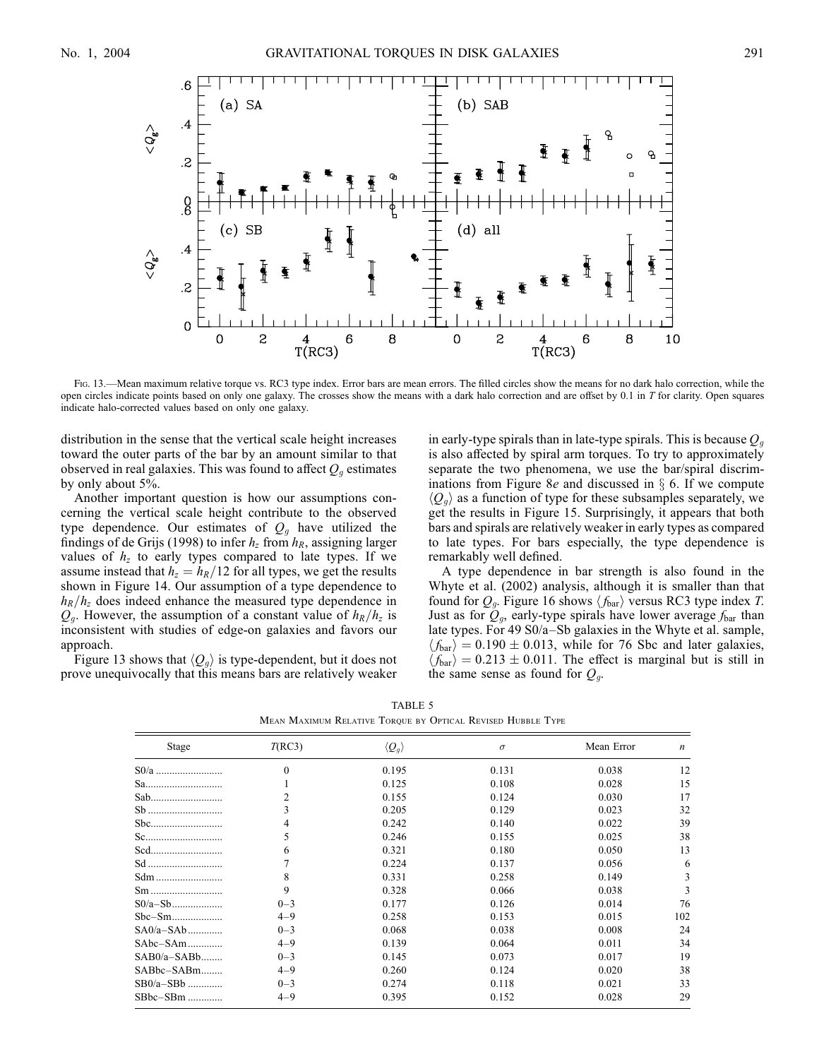

Fig. 13.—Mean maximum relative torque vs. RC3 type index. Error bars are mean errors. The filled circles show the means for no dark halo correction, while the open circles indicate points based on only one galaxy. The crosses show the means with a dark halo correction and are offset by 0.1 in T for clarity. Open squares indicate halo-corrected values based on only one galaxy.

distribution in the sense that the vertical scale height increases toward the outer parts of the bar by an amount similar to that observed in real galaxies. This was found to affect  $Q<sub>q</sub>$  estimates by only about 5%.

Another important question is how our assumptions concerning the vertical scale height contribute to the observed type dependence. Our estimates of  $Q<sub>g</sub>$  have utilized the findings of de Grijs (1998) to infer  $h_z$  from  $h_R$ , assigning larger values of  $h<sub>z</sub>$  to early types compared to late types. If we assume instead that  $h_z = h_R/12$  for all types, we get the results shown in Figure 14. Our assumption of a type dependence to  $h_R/h_z$  does indeed enhance the measured type dependence in  $Q_q$ . However, the assumption of a constant value of  $h_R/h_z$  is inconsistent with studies of edge-on galaxies and favors our approach.

Figure 13 shows that  $\langle Q_{q} \rangle$  is type-dependent, but it does not prove unequivocally that this means bars are relatively weaker in early-type spirals than in late-type spirals. This is because  $Q_q$ is also affected by spiral arm torques. To try to approximately separate the two phenomena, we use the bar/spiral discriminations from Figure 8e and discussed in  $\S$  6. If we compute  $\langle Q_q \rangle$  as a function of type for these subsamples separately, we get the results in Figure 15. Surprisingly, it appears that both bars and spirals are relatively weaker in early types as compared to late types. For bars especially, the type dependence is remarkably well defined.

A type dependence in bar strength is also found in the Whyte et al. (2002) analysis, although it is smaller than that found for  $Q_g$ . Figure 16 shows  $\langle f_{\text{bar}} \rangle$  versus RC3 type index T. Just as for  $\mathcal{Q}_q$ , early-type spirals have lower average  $f_{\text{bar}}$  than late types. For 49 S0/a–Sb galaxies in the Whyte et al. sample,  $\langle f_{\text{bar}} \rangle = 0.190 \pm 0.013$ , while for 76 Sbc and later galaxies,  $\langle f_{\text{bar}} \rangle = 0.213 \pm 0.011$ . The effect is marginal but is still in the same sense as found for  $Q_g$ .

|                                                             | TABLE 5 |  |  |
|-------------------------------------------------------------|---------|--|--|
| Mean Maximum Relative Toroue by Optical Revised Hubble Type |         |  |  |

| Stage         | T(RC3)   | $\langle Q_g \rangle$ | $\sigma$ | Mean Error | $\boldsymbol{n}$ |
|---------------|----------|-----------------------|----------|------------|------------------|
|               | $\theta$ | 0.195                 | 0.131    | 0.038      | 12               |
| Sa            |          | 0.125                 | 0.108    | 0.028      | 15               |
| Sab           | 2        | 0.155                 | 0.124    | 0.030      | 17               |
|               | 3        | 0.205                 | 0.129    | 0.023      | 32               |
|               | 4        | 0.242                 | 0.140    | 0.022      | 39               |
|               | 5        | 0.246                 | 0.155    | 0.025      | 38               |
| Scd           | 6        | 0.321                 | 0.180    | 0.050      | 13               |
|               | 7        | 0.224                 | 0.137    | 0.056      | 6                |
| Sdm           | 8        | 0.331                 | 0.258    | 0.149      | 3                |
| $Sm$          | 9        | 0.328                 | 0.066    | 0.038      | 3                |
|               | $0 - 3$  | 0.177                 | 0.126    | 0.014      | 76               |
|               | $4 - 9$  | 0.258                 | 0.153    | 0.015      | 102              |
| $SA0/a-SAb$   | $0 - 3$  | 0.068                 | 0.038    | 0.008      | 24               |
| SAbc-SAm      | $4 - 9$  | 0.139                 | 0.064    | 0.011      | 34               |
| $SAB0/a-SABb$ | $0 - 3$  | 0.145                 | 0.073    | 0.017      | 19               |
| SABbc-SABm    | $4 - 9$  | 0.260                 | 0.124    | 0.020      | 38               |
| $SB0/a-SBb$   | $0 - 3$  | 0.274                 | 0.118    | 0.021      | 33               |
| $SBbc-SBm$    | $4 - 9$  | 0.395                 | 0.152    | 0.028      | 29               |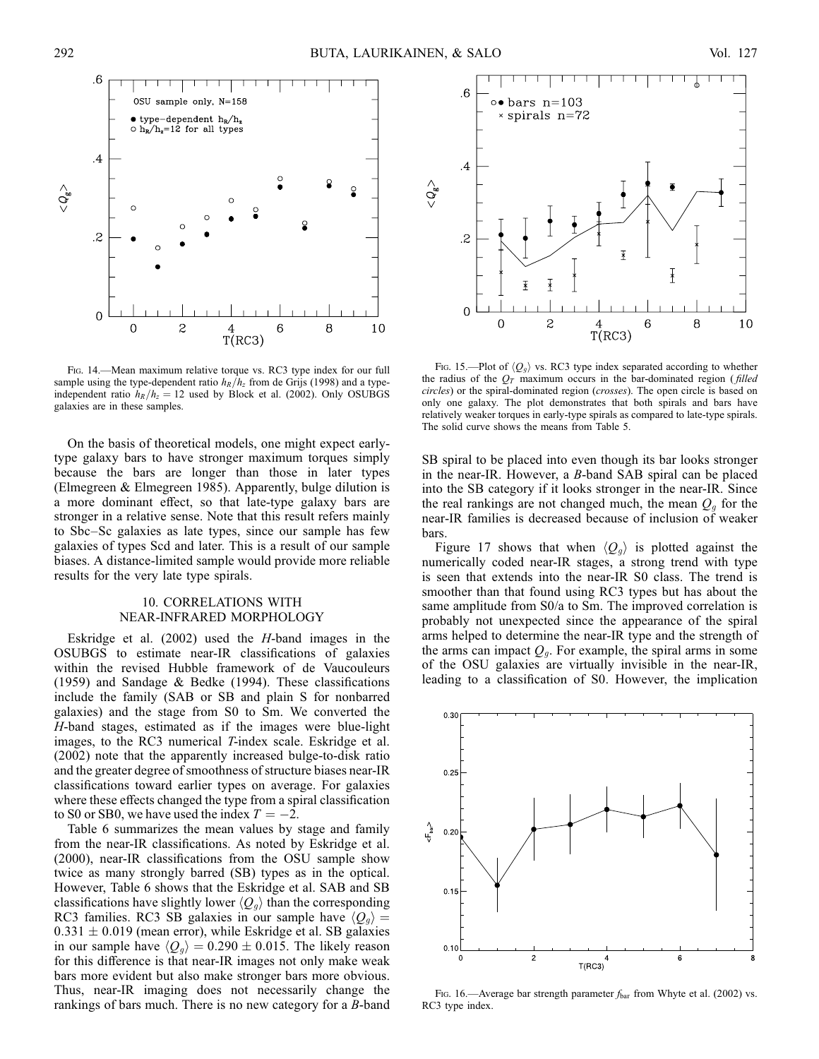

Fig. 14.—Mean maximum relative torque vs. RC3 type index for our full sample using the type-dependent ratio  $h_R/h_z$  from de Grijs (1998) and a typeindependent ratio  $h_R/h_z = 12$  used by Block et al. (2002). Only OSUBGS galaxies are in these samples.

On the basis of theoretical models, one might expect earlytype galaxy bars to have stronger maximum torques simply because the bars are longer than those in later types (Elmegreen & Elmegreen 1985). Apparently, bulge dilution is a more dominant effect, so that late-type galaxy bars are stronger in a relative sense. Note that this result refers mainly to Sbc–Sc galaxies as late types, since our sample has few galaxies of types Scd and later. This is a result of our sample biases. A distance-limited sample would provide more reliable results for the very late type spirals.

# 10. CORRELATIONS WITH NEAR-INFRARED MORPHOLOGY

Eskridge et al. (2002) used the H-band images in the OSUBGS to estimate near-IR classifications of galaxies within the revised Hubble framework of de Vaucouleurs (1959) and Sandage & Bedke (1994). These classifications include the family (SAB or SB and plain S for nonbarred galaxies) and the stage from S0 to Sm. We converted the H-band stages, estimated as if the images were blue-light images, to the RC3 numerical T-index scale. Eskridge et al. (2002) note that the apparently increased bulge-to-disk ratio and the greater degree of smoothness of structure biases near-IR classifications toward earlier types on average. For galaxies where these effects changed the type from a spiral classification to S0 or SB0, we have used the index  $T = -2$ .

Table 6 summarizes the mean values by stage and family from the near-IR classifications. As noted by Eskridge et al. (2000), near-IR classifications from the OSU sample show twice as many strongly barred (SB) types as in the optical. However, Table 6 shows that the Eskridge et al. SAB and SB classifications have slightly lower  $\langle Q_q \rangle$  than the corresponding RC3 families. RC3 SB galaxies in our sample have  $\langle Q_{q} \rangle =$  $0.331 \pm 0.019$  (mean error), while Eskridge et al. SB galaxies in our sample have  $\langle Q_q \rangle = 0.290 \pm 0.015$ . The likely reason for this difference is that near-IR images not only make weak bars more evident but also make stronger bars more obvious. Thus, near-IR imaging does not necessarily change the rankings of bars much. There is no new category for a B-band



Fig. 15.—Plot of  $\langle Q_q \rangle$  vs. RC3 type index separated according to whether the radius of the  $O<sub>T</sub>$  maximum occurs in the bar-dominated region (filled circles) or the spiral-dominated region (crosses). The open circle is based on only one galaxy. The plot demonstrates that both spirals and bars have relatively weaker torques in early-type spirals as compared to late-type spirals. The solid curve shows the means from Table 5.

SB spiral to be placed into even though its bar looks stronger in the near-IR. However, a B-band SAB spiral can be placed into the SB category if it looks stronger in the near-IR. Since the real rankings are not changed much, the mean  $Q<sub>g</sub>$  for the near-IR families is decreased because of inclusion of weaker bars.

Figure 17 shows that when  $\langle Q_q \rangle$  is plotted against the numerically coded near-IR stages, a strong trend with type is seen that extends into the near-IR S0 class. The trend is smoother than that found using RC3 types but has about the same amplitude from S0/a to Sm. The improved correlation is probably not unexpected since the appearance of the spiral arms helped to determine the near-IR type and the strength of the arms can impact  $Q_g$ . For example, the spiral arms in some of the OSU galaxies are virtually invisible in the near-IR, leading to a classification of S0. However, the implication



Fig. 16.—Average bar strength parameter  $f_{\text{bar}}$  from Whyte et al. (2002) vs. RC3 type index.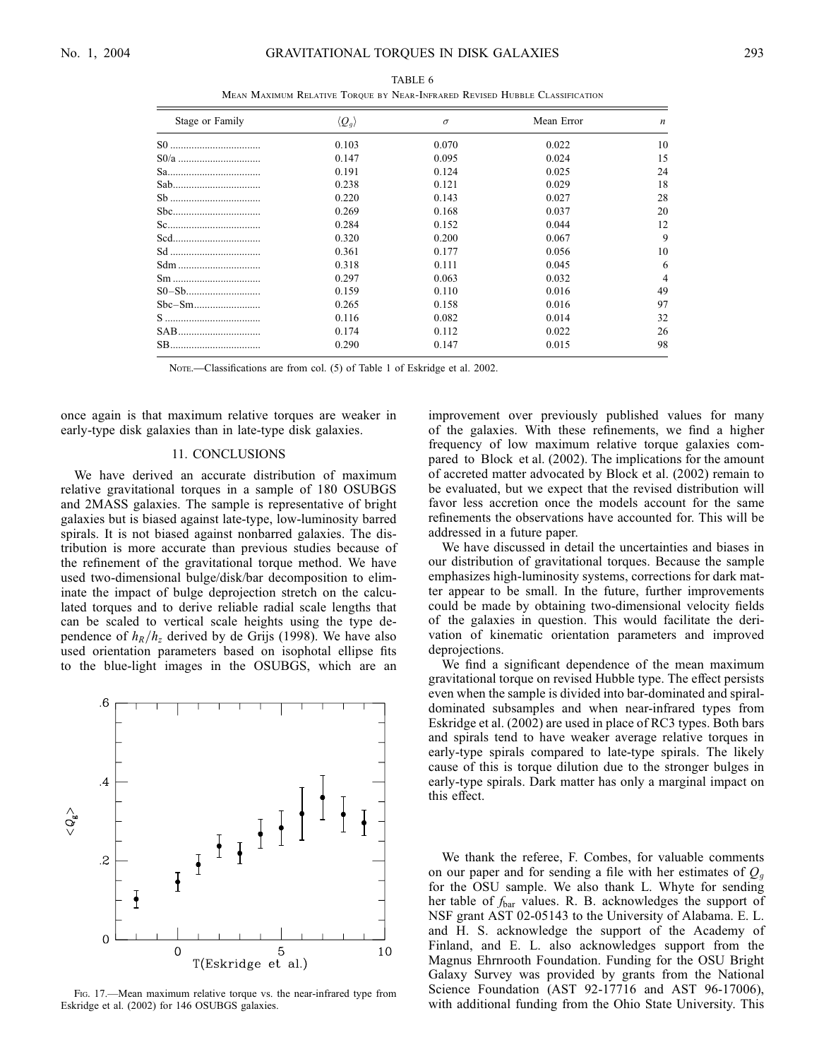$\overline{a}$ 

| Stage or Family | $\langle Q_g \rangle$ | $\sigma$ | Mean Error | $\boldsymbol{n}$ |
|-----------------|-----------------------|----------|------------|------------------|
|                 | 0.103                 | 0.070    | 0.022      | 10               |
|                 | 0.147                 | 0.095    | 0.024      | 15               |
|                 | 0.191                 | 0.124    | 0.025      | 24               |
| Sab             | 0.238                 | 0.121    | 0.029      | 18               |
| Sb              | 0.220                 | 0.143    | 0.027      | 28               |
| Sbc             | 0.269                 | 0.168    | 0.037      | 20               |
|                 | 0.284                 | 0.152    | 0.044      | 12               |
| Scd             | 0.320                 | 0.200    | 0.067      | 9                |
|                 | 0.361                 | 0.177    | 0.056      | 10               |
| Sdm             | 0.318                 | 0.111    | 0.045      | 6                |
|                 | 0.297                 | 0.063    | 0.032      | 4                |
|                 | 0.159                 | 0.110    | 0.016      | 49               |
|                 | 0.265                 | 0.158    | 0.016      | 97               |
|                 | 0.116                 | 0.082    | 0.014      | 32               |
| SAB             | 0.174                 | 0.112    | 0.022      | 26               |
|                 | 0.290                 | 0.147    | 0.015      | 98               |
|                 |                       |          |            |                  |

TABLE 6 Mean Maximum Relative Torque by Near-Infrared Revised Hubble Classification

NOTE.—Classifications are from col. (5) of Table 1 of Eskridge et al. 2002.

once again is that maximum relative torques are weaker in early-type disk galaxies than in late-type disk galaxies.

### 11. CONCLUSIONS

We have derived an accurate distribution of maximum relative gravitational torques in a sample of 180 OSUBGS and 2MASS galaxies. The sample is representative of bright galaxies but is biased against late-type, low-luminosity barred spirals. It is not biased against nonbarred galaxies. The distribution is more accurate than previous studies because of the refinement of the gravitational torque method. We have used two-dimensional bulge/disk/bar decomposition to eliminate the impact of bulge deprojection stretch on the calculated torques and to derive reliable radial scale lengths that can be scaled to vertical scale heights using the type dependence of  $h_R/h_z$  derived by de Grijs (1998). We have also used orientation parameters based on isophotal ellipse fits to the blue-light images in the OSUBGS, which are an



FIG. 17.—Mean maximum relative torque vs. the near-infrared type from Eskridge et al. (2002) for 146 OSUBGS galaxies.

improvement over previously published values for many of the galaxies. With these refinements, we find a higher frequency of low maximum relative torque galaxies compared to Block et al. (2002). The implications for the amount of accreted matter advocated by Block et al. (2002) remain to be evaluated, but we expect that the revised distribution will favor less accretion once the models account for the same refinements the observations have accounted for. This will be addressed in a future paper.

We have discussed in detail the uncertainties and biases in our distribution of gravitational torques. Because the sample emphasizes high-luminosity systems, corrections for dark matter appear to be small. In the future, further improvements could be made by obtaining two-dimensional velocity fields of the galaxies in question. This would facilitate the derivation of kinematic orientation parameters and improved deprojections.

We find a significant dependence of the mean maximum gravitational torque on revised Hubble type. The effect persists even when the sample is divided into bar-dominated and spiraldominated subsamples and when near-infrared types from Eskridge et al. (2002) are used in place of RC3 types. Both bars and spirals tend to have weaker average relative torques in early-type spirals compared to late-type spirals. The likely cause of this is torque dilution due to the stronger bulges in early-type spirals. Dark matter has only a marginal impact on this effect.

We thank the referee, F. Combes, for valuable comments on our paper and for sending a file with her estimates of  $Q_q$ for the OSU sample. We also thank L. Whyte for sending her table of  $f_{\text{bar}}$  values. R. B. acknowledges the support of NSF grant AST 02-05143 to the University of Alabama. E. L. and H. S. acknowledge the support of the Academy of Finland, and E. L. also acknowledges support from the Magnus Ehrnrooth Foundation. Funding for the OSU Bright Galaxy Survey was provided by grants from the National Science Foundation (AST 92-17716 and AST 96-17006), with additional funding from the Ohio State University. This